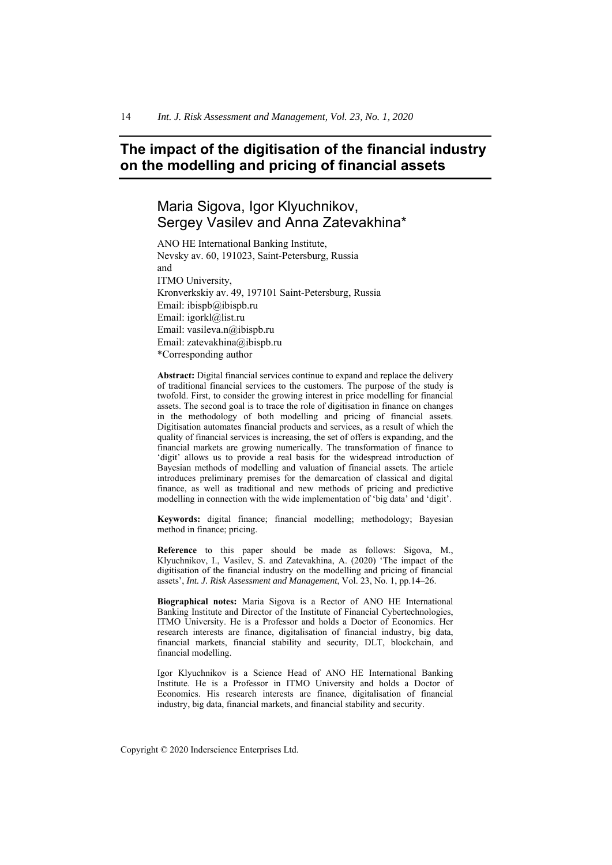# **The impact of the digitisation of the financial industry on the modelling and pricing of financial assets**

# Maria Sigova, Igor Klyuchnikov, Sergey Vasilev and Anna Zatevakhina\*

ANO HE International Banking Institute, Nevsky av. 60, 191023, Saint-Petersburg, Russia and ITMO University, Kronverkskiy av. 49, 197101 Saint-Petersburg, Russia Email: ibispb@ibispb.ru Email: igorkl@list.ru Email: vasileva.n@ibispb.ru Email: zatevakhina@ibispb.ru \*Corresponding author

**Abstract:** Digital financial services continue to expand and replace the delivery of traditional financial services to the customers. The purpose of the study is twofold. First, to consider the growing interest in price modelling for financial assets. The second goal is to trace the role of digitisation in finance on changes in the methodology of both modelling and pricing of financial assets. Digitisation automates financial products and services, as a result of which the quality of financial services is increasing, the set of offers is expanding, and the financial markets are growing numerically. The transformation of finance to 'digit' allows us to provide a real basis for the widespread introduction of Bayesian methods of modelling and valuation of financial assets. The article introduces preliminary premises for the demarcation of classical and digital finance, as well as traditional and new methods of pricing and predictive modelling in connection with the wide implementation of 'big data' and 'digit'.

**Keywords:** digital finance; financial modelling; methodology; Bayesian method in finance; pricing.

**Reference** to this paper should be made as follows: Sigova, M., Klyuchnikov, I., Vasilev, S. and Zatevakhina, A. (2020) 'The impact of the digitisation of the financial industry on the modelling and pricing of financial assets', *Int. J. Risk Assessment and Management*, Vol. 23, No. 1, pp.14–26.

**Biographical notes:** Maria Sigova is a Rector of ANO HE International Banking Institute and Director of the Institute of Financial Cybertechnologies, ITMO University. He is a Professor and holds a Doctor of Economics. Her research interests are finance, digitalisation of financial industry, big data, financial markets, financial stability and security, DLT, blockchain, and financial modelling.

Igor Klyuchnikov is a Science Head of ANO HE International Banking Institute. He is a Professor in ITMO University and holds a Doctor of Economics. His research interests are finance, digitalisation of financial industry, big data, financial markets, and financial stability and security.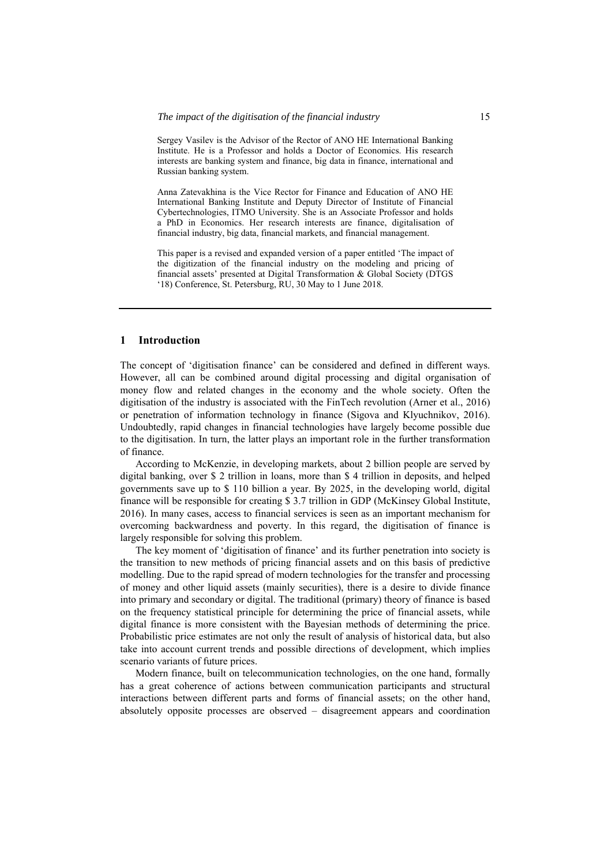Sergey Vasilev is the Advisor of the Rector of ANO HE International Banking Institute. He is a Professor and holds a Doctor of Economics. His research interests are banking system and finance, big data in finance, international and Russian banking system.

Anna Zatevakhina is the Vice Rector for Finance and Education of ANO HE International Banking Institute and Deputy Director of Institute of Financial Cybertechnologies, ITMO University. She is an Associate Professor and holds a PhD in Economics. Her research interests are finance, digitalisation of financial industry, big data, financial markets, and financial management.

This paper is a revised and expanded version of a paper entitled 'The impact of the digitization of the financial industry on the modeling and pricing of financial assets' presented at Digital Transformation & Global Society (DTGS '18) Conference, St. Petersburg, RU, 30 May to 1 June 2018.

#### **1 Introduction**

The concept of 'digitisation finance' can be considered and defined in different ways. However, all can be combined around digital processing and digital organisation of money flow and related changes in the economy and the whole society. Often the digitisation of the industry is associated with the FinTech revolution (Arner et al., 2016) or penetration of information technology in finance (Sigova and Klyuchnikov, 2016). Undoubtedly, rapid changes in financial technologies have largely become possible due to the digitisation. In turn, the latter plays an important role in the further transformation of finance.

According to McKenzie, in developing markets, about 2 billion people are served by digital banking, over \$ 2 trillion in loans, more than \$ 4 trillion in deposits, and helped governments save up to \$ 110 billion a year. By 2025, in the developing world, digital finance will be responsible for creating \$ 3.7 trillion in GDP (McKinsey Global Institute, 2016). In many cases, access to financial services is seen as an important mechanism for overcoming backwardness and poverty. In this regard, the digitisation of finance is largely responsible for solving this problem.

The key moment of 'digitisation of finance' and its further penetration into society is the transition to new methods of pricing financial assets and on this basis of predictive modelling. Due to the rapid spread of modern technologies for the transfer and processing of money and other liquid assets (mainly securities), there is a desire to divide finance into primary and secondary or digital. The traditional (primary) theory of finance is based on the frequency statistical principle for determining the price of financial assets, while digital finance is more consistent with the Bayesian methods of determining the price. Probabilistic price estimates are not only the result of analysis of historical data, but also take into account current trends and possible directions of development, which implies scenario variants of future prices.

Modern finance, built on telecommunication technologies, on the one hand, formally has a great coherence of actions between communication participants and structural interactions between different parts and forms of financial assets; on the other hand, absolutely opposite processes are observed – disagreement appears and coordination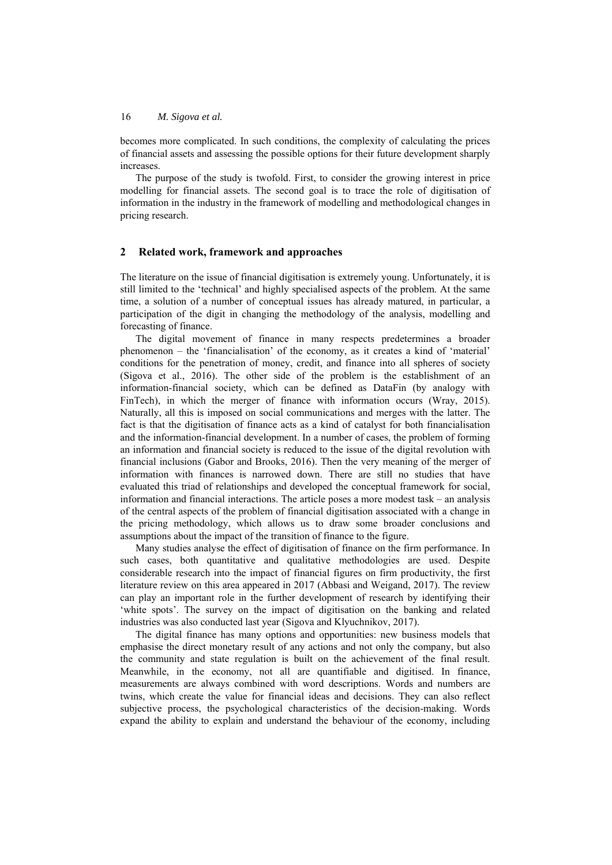becomes more complicated. In such conditions, the complexity of calculating the prices of financial assets and assessing the possible options for their future development sharply increases.

The purpose of the study is twofold. First, to consider the growing interest in price modelling for financial assets. The second goal is to trace the role of digitisation of information in the industry in the framework of modelling and methodological changes in pricing research.

## **2 Related work, framework and approaches**

The literature on the issue of financial digitisation is extremely young. Unfortunately, it is still limited to the 'technical' and highly specialised aspects of the problem. At the same time, a solution of a number of conceptual issues has already matured, in particular, a participation of the digit in changing the methodology of the analysis, modelling and forecasting of finance.

The digital movement of finance in many respects predetermines a broader phenomenon – the 'financialisation' of the economy, as it creates a kind of 'material' conditions for the penetration of money, credit, and finance into all spheres of society (Sigova et al., 2016). The other side of the problem is the establishment of an information-financial society, which can be defined as DataFin (by analogy with FinTech), in which the merger of finance with information occurs (Wray, 2015). Naturally, all this is imposed on social communications and merges with the latter. The fact is that the digitisation of finance acts as a kind of catalyst for both financialisation and the information-financial development. In a number of cases, the problem of forming an information and financial society is reduced to the issue of the digital revolution with financial inclusions (Gabor and Brooks, 2016). Then the very meaning of the merger of information with finances is narrowed down. There are still no studies that have evaluated this triad of relationships and developed the conceptual framework for social, information and financial interactions. The article poses a more modest task – an analysis of the central aspects of the problem of financial digitisation associated with a change in the pricing methodology, which allows us to draw some broader conclusions and assumptions about the impact of the transition of finance to the figure.

Many studies analyse the effect of digitisation of finance on the firm performance. In such cases, both quantitative and qualitative methodologies are used. Despite considerable research into the impact of financial figures on firm productivity, the first literature review on this area appeared in 2017 (Abbasi and Weigand, 2017). The review can play an important role in the further development of research by identifying their 'white spots'. The survey on the impact of digitisation on the banking and related industries was also conducted last year (Sigova and Klyuchnikov, 2017).

The digital finance has many options and opportunities: new business models that emphasise the direct monetary result of any actions and not only the company, but also the community and state regulation is built on the achievement of the final result. Meanwhile, in the economy, not all are quantifiable and digitised. In finance, measurements are always combined with word descriptions. Words and numbers are twins, which create the value for financial ideas and decisions. They can also reflect subjective process, the psychological characteristics of the decision-making. Words expand the ability to explain and understand the behaviour of the economy, including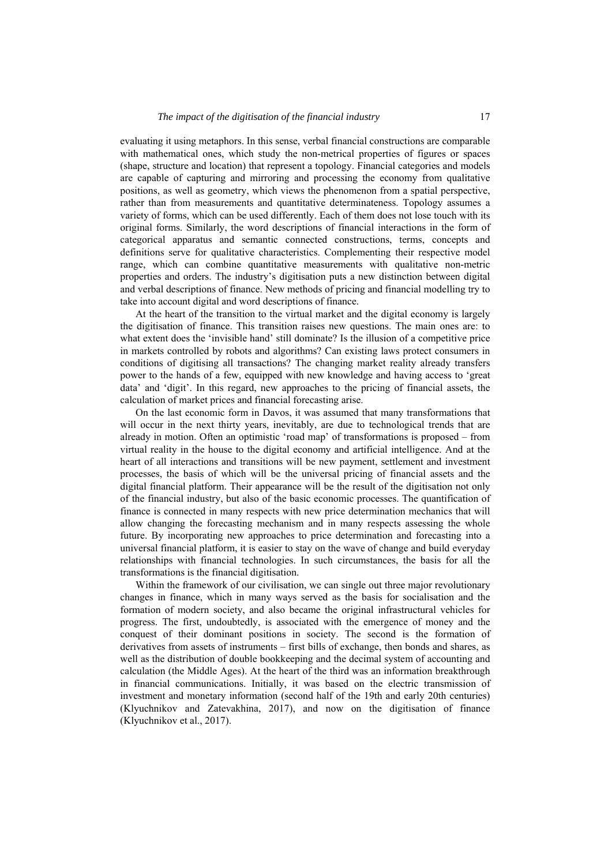evaluating it using metaphors. In this sense, verbal financial constructions are comparable with mathematical ones, which study the non-metrical properties of figures or spaces (shape, structure and location) that represent a topology. Financial categories and models are capable of capturing and mirroring and processing the economy from qualitative positions, as well as geometry, which views the phenomenon from a spatial perspective, rather than from measurements and quantitative determinateness. Topology assumes a variety of forms, which can be used differently. Each of them does not lose touch with its original forms. Similarly, the word descriptions of financial interactions in the form of categorical apparatus and semantic connected constructions, terms, concepts and definitions serve for qualitative characteristics. Complementing their respective model range, which can combine quantitative measurements with qualitative non-metric properties and orders. The industry's digitisation puts a new distinction between digital and verbal descriptions of finance. New methods of pricing and financial modelling try to take into account digital and word descriptions of finance.

At the heart of the transition to the virtual market and the digital economy is largely the digitisation of finance. This transition raises new questions. The main ones are: to what extent does the 'invisible hand' still dominate? Is the illusion of a competitive price in markets controlled by robots and algorithms? Can existing laws protect consumers in conditions of digitising all transactions? The changing market reality already transfers power to the hands of a few, equipped with new knowledge and having access to 'great data' and 'digit'. In this regard, new approaches to the pricing of financial assets, the calculation of market prices and financial forecasting arise.

On the last economic form in Davos, it was assumed that many transformations that will occur in the next thirty years, inevitably, are due to technological trends that are already in motion. Often an optimistic 'road map' of transformations is proposed – from virtual reality in the house to the digital economy and artificial intelligence. And at the heart of all interactions and transitions will be new payment, settlement and investment processes, the basis of which will be the universal pricing of financial assets and the digital financial platform. Their appearance will be the result of the digitisation not only of the financial industry, but also of the basic economic processes. The quantification of finance is connected in many respects with new price determination mechanics that will allow changing the forecasting mechanism and in many respects assessing the whole future. By incorporating new approaches to price determination and forecasting into a universal financial platform, it is easier to stay on the wave of change and build everyday relationships with financial technologies. In such circumstances, the basis for all the transformations is the financial digitisation.

Within the framework of our civilisation, we can single out three major revolutionary changes in finance, which in many ways served as the basis for socialisation and the formation of modern society, and also became the original infrastructural vehicles for progress. The first, undoubtedly, is associated with the emergence of money and the conquest of their dominant positions in society. The second is the formation of derivatives from assets of instruments – first bills of exchange, then bonds and shares, as well as the distribution of double bookkeeping and the decimal system of accounting and calculation (the Middle Ages). At the heart of the third was an information breakthrough in financial communications. Initially, it was based on the electric transmission of investment and monetary information (second half of the 19th and early 20th centuries) (Klyuchnikov and Zatevakhina, 2017), and now on the digitisation of finance (Klyuchnikov et al., 2017).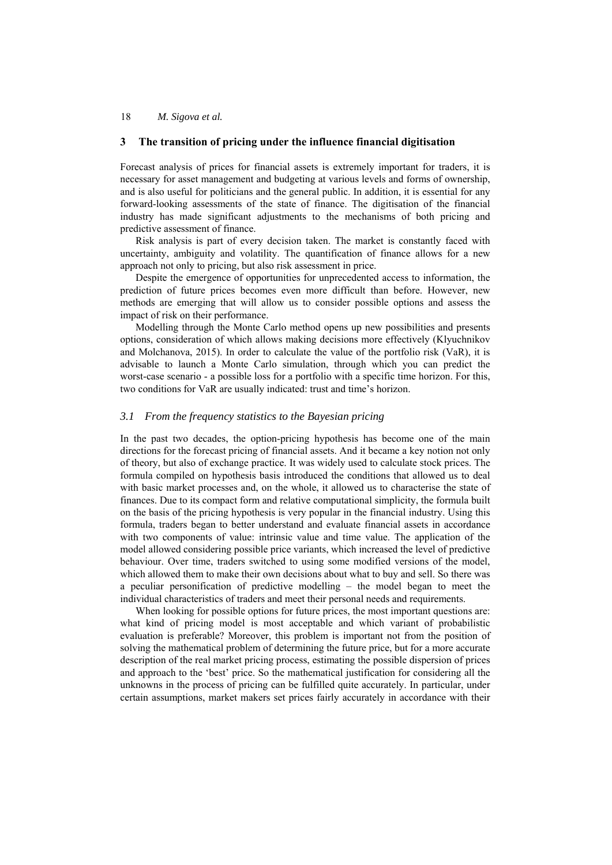## **3 The transition of pricing under the influence financial digitisation**

Forecast analysis of prices for financial assets is extremely important for traders, it is necessary for asset management and budgeting at various levels and forms of ownership, and is also useful for politicians and the general public. In addition, it is essential for any forward-looking assessments of the state of finance. The digitisation of the financial industry has made significant adjustments to the mechanisms of both pricing and predictive assessment of finance.

Risk analysis is part of every decision taken. The market is constantly faced with uncertainty, ambiguity and volatility. The quantification of finance allows for a new approach not only to pricing, but also risk assessment in price.

Despite the emergence of opportunities for unprecedented access to information, the prediction of future prices becomes even more difficult than before. However, new methods are emerging that will allow us to consider possible options and assess the impact of risk on their performance.

Modelling through the Monte Carlo method opens up new possibilities and presents options, consideration of which allows making decisions more effectively (Klyuchnikov and Molchanova, 2015). In order to calculate the value of the portfolio risk (VaR), it is advisable to launch a Monte Carlo simulation, through which you can predict the worst-case scenario - a possible loss for a portfolio with a specific time horizon. For this, two conditions for VaR are usually indicated: trust and time's horizon.

#### *3.1 From the frequency statistics to the Bayesian pricing*

In the past two decades, the option-pricing hypothesis has become one of the main directions for the forecast pricing of financial assets. And it became a key notion not only of theory, but also of exchange practice. It was widely used to calculate stock prices. The formula compiled on hypothesis basis introduced the conditions that allowed us to deal with basic market processes and, on the whole, it allowed us to characterise the state of finances. Due to its compact form and relative computational simplicity, the formula built on the basis of the pricing hypothesis is very popular in the financial industry. Using this formula, traders began to better understand and evaluate financial assets in accordance with two components of value: intrinsic value and time value. The application of the model allowed considering possible price variants, which increased the level of predictive behaviour. Over time, traders switched to using some modified versions of the model, which allowed them to make their own decisions about what to buy and sell. So there was a peculiar personification of predictive modelling – the model began to meet the individual characteristics of traders and meet their personal needs and requirements.

When looking for possible options for future prices, the most important questions are: what kind of pricing model is most acceptable and which variant of probabilistic evaluation is preferable? Moreover, this problem is important not from the position of solving the mathematical problem of determining the future price, but for a more accurate description of the real market pricing process, estimating the possible dispersion of prices and approach to the 'best' price. So the mathematical justification for considering all the unknowns in the process of pricing can be fulfilled quite accurately. In particular, under certain assumptions, market makers set prices fairly accurately in accordance with their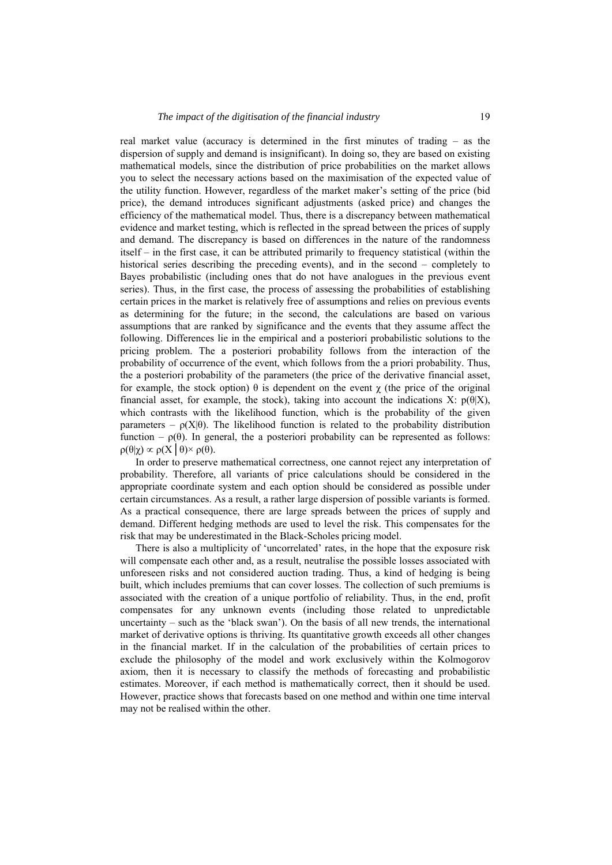real market value (accuracy is determined in the first minutes of trading – as the dispersion of supply and demand is insignificant). In doing so, they are based on existing mathematical models, since the distribution of price probabilities on the market allows you to select the necessary actions based on the maximisation of the expected value of the utility function. However, regardless of the market maker's setting of the price (bid price), the demand introduces significant adjustments (asked price) and changes the efficiency of the mathematical model. Thus, there is a discrepancy between mathematical evidence and market testing, which is reflected in the spread between the prices of supply and demand. The discrepancy is based on differences in the nature of the randomness itself – in the first case, it can be attributed primarily to frequency statistical (within the historical series describing the preceding events), and in the second – completely to Bayes probabilistic (including ones that do not have analogues in the previous event series). Thus, in the first case, the process of assessing the probabilities of establishing certain prices in the market is relatively free of assumptions and relies on previous events as determining for the future; in the second, the calculations are based on various assumptions that are ranked by significance and the events that they assume affect the following. Differences lie in the empirical and a posteriori probabilistic solutions to the pricing problem. The a posteriori probability follows from the interaction of the probability of occurrence of the event, which follows from the a priori probability. Thus, the a posteriori probability of the parameters (the price of the derivative financial asset, for example, the stock option)  $\theta$  is dependent on the event  $\gamma$  (the price of the original financial asset, for example, the stock), taking into account the indications X:  $p(\theta|X)$ , which contrasts with the likelihood function, which is the probability of the given parameters –  $\rho(X|\theta)$ . The likelihood function is related to the probability distribution function –  $\rho(\theta)$ . In general, the a posteriori probability can be represented as follows:  $\rho(\theta|\gamma) \propto \rho(X|\theta) \times \rho(\theta)$ .

In order to preserve mathematical correctness, one cannot reject any interpretation of probability. Therefore, all variants of price calculations should be considered in the appropriate coordinate system and each option should be considered as possible under certain circumstances. As a result, a rather large dispersion of possible variants is formed. As a practical consequence, there are large spreads between the prices of supply and demand. Different hedging methods are used to level the risk. This compensates for the risk that may be underestimated in the Black-Scholes pricing model.

There is also a multiplicity of 'uncorrelated' rates, in the hope that the exposure risk will compensate each other and, as a result, neutralise the possible losses associated with unforeseen risks and not considered auction trading. Thus, a kind of hedging is being built, which includes premiums that can cover losses. The collection of such premiums is associated with the creation of a unique portfolio of reliability. Thus, in the end, profit compensates for any unknown events (including those related to unpredictable uncertainty – such as the 'black swan'). On the basis of all new trends, the international market of derivative options is thriving. Its quantitative growth exceeds all other changes in the financial market. If in the calculation of the probabilities of certain prices to exclude the philosophy of the model and work exclusively within the Kolmogorov axiom, then it is necessary to classify the methods of forecasting and probabilistic estimates. Moreover, if each method is mathematically correct, then it should be used. However, practice shows that forecasts based on one method and within one time interval may not be realised within the other.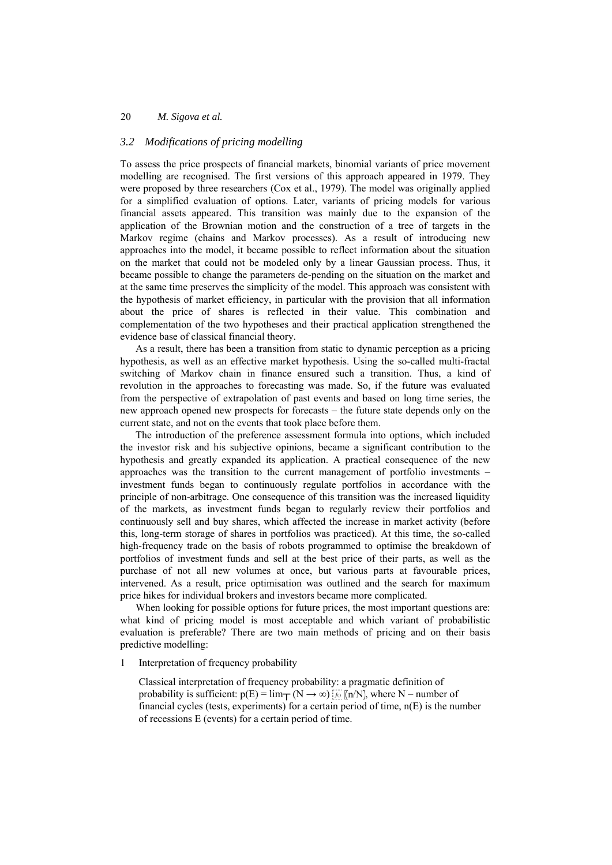### *3.2 Modifications of pricing modelling*

To assess the price prospects of financial markets, binomial variants of price movement modelling are recognised. The first versions of this approach appeared in 1979. They were proposed by three researchers (Cox et al., 1979). The model was originally applied for a simplified evaluation of options. Later, variants of pricing models for various financial assets appeared. This transition was mainly due to the expansion of the application of the Brownian motion and the construction of a tree of targets in the Markov regime (chains and Markov processes). As a result of introducing new approaches into the model, it became possible to reflect information about the situation on the market that could not be modeled only by a linear Gaussian process. Thus, it became possible to change the parameters de-pending on the situation on the market and at the same time preserves the simplicity of the model. This approach was consistent with the hypothesis of market efficiency, in particular with the provision that all information about the price of shares is reflected in their value. This combination and complementation of the two hypotheses and their practical application strengthened the evidence base of classical financial theory.

As a result, there has been a transition from static to dynamic perception as a pricing hypothesis, as well as an effective market hypothesis. Using the so-called multi-fractal switching of Markov chain in finance ensured such a transition. Thus, a kind of revolution in the approaches to forecasting was made. So, if the future was evaluated from the perspective of extrapolation of past events and based on long time series, the new approach opened new prospects for forecasts – the future state depends only on the current state, and not on the events that took place before them.

The introduction of the preference assessment formula into options, which included the investor risk and his subjective opinions, became a significant contribution to the hypothesis and greatly expanded its application. A practical consequence of the new approaches was the transition to the current management of portfolio investments – investment funds began to continuously regulate portfolios in accordance with the principle of non-arbitrage. One consequence of this transition was the increased liquidity of the markets, as investment funds began to regularly review their portfolios and continuously sell and buy shares, which affected the increase in market activity (before this, long-term storage of shares in portfolios was practiced). At this time, the so-called high-frequency trade on the basis of robots programmed to optimise the breakdown of portfolios of investment funds and sell at the best price of their parts, as well as the purchase of not all new volumes at once, but various parts at favourable prices, intervened. As a result, price optimisation was outlined and the search for maximum price hikes for individual brokers and investors became more complicated.

When looking for possible options for future prices, the most important questions are: what kind of pricing model is most acceptable and which variant of probabilistic evaluation is preferable? There are two main methods of pricing and on their basis predictive modelling:

1 Interpretation of frequency probability

Classical interpretation of frequency probability: a pragmatic definition of probability is sufficient:  $p(E) = \lim_{\text{T}} (N \rightarrow \infty)$  [[n][n/N], where N – number of financial cycles (tests, experiments) for a certain period of time,  $n(E)$  is the number of recessions E (events) for a certain period of time.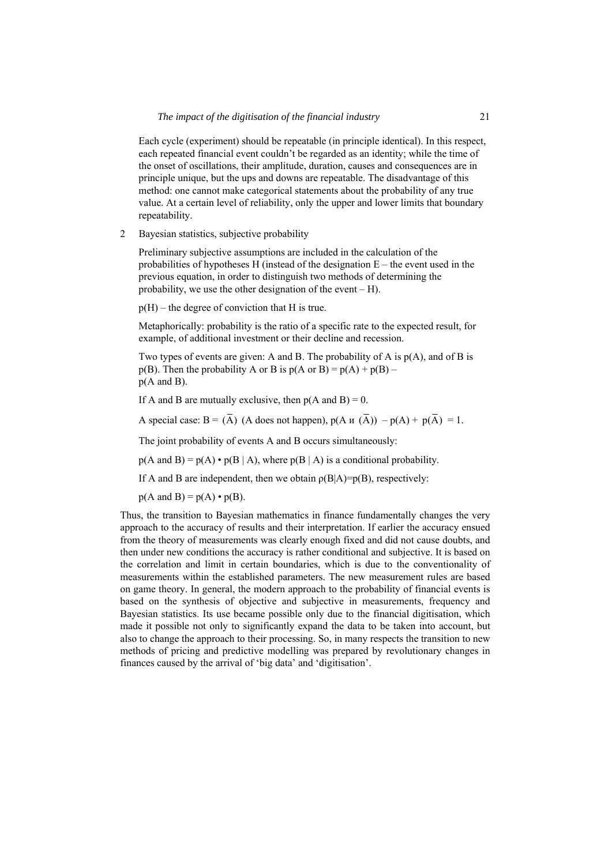Each cycle (experiment) should be repeatable (in principle identical). In this respect, each repeated financial event couldn't be regarded as an identity; while the time of the onset of oscillations, their amplitude, duration, causes and consequences are in principle unique, but the ups and downs are repeatable. The disadvantage of this method: one cannot make categorical statements about the probability of any true value. At a certain level of reliability, only the upper and lower limits that boundary repeatability.

2 Bayesian statistics, subjective probability

Preliminary subjective assumptions are included in the calculation of the probabilities of hypotheses H (instead of the designation  $E$  – the event used in the previous equation, in order to distinguish two methods of determining the probability, we use the other designation of the event – H).

 $p(H)$  – the degree of conviction that H is true.

Metaphorically: probability is the ratio of a specific rate to the expected result, for example, of additional investment or their decline and recession.

Two types of events are given: A and B. The probability of A is  $p(A)$ , and of B is  $p(B)$ . Then the probability A or B is  $p(A \text{ or } B) = p(A) + p(B)$  – p(A and B).

If A and B are mutually exclusive, then  $p(A \text{ and } B) = 0$ .

A special case:  $B = (\overline{A})$  (A does not happen),  $p(A \cup \overline{A}) - p(A) + p(\overline{A}) = 1$ .

The joint probability of events A and B occurs simultaneously:

 $p(A \text{ and } B) = p(A) \cdot p(B \mid A)$ , where  $p(B \mid A)$  is a conditional probability.

If A and B are independent, then we obtain  $\rho(B|A)=p(B)$ , respectively:

 $p(A \text{ and } B) = p(A) \cdot p(B)$ .

Thus, the transition to Bayesian mathematics in finance fundamentally changes the very approach to the accuracy of results and their interpretation. If earlier the accuracy ensued from the theory of measurements was clearly enough fixed and did not cause doubts, and then under new conditions the accuracy is rather conditional and subjective. It is based on the correlation and limit in certain boundaries, which is due to the conventionality of measurements within the established parameters. The new measurement rules are based on game theory. In general, the modern approach to the probability of financial events is based on the synthesis of objective and subjective in measurements, frequency and Bayesian statistics. Its use became possible only due to the financial digitisation, which made it possible not only to significantly expand the data to be taken into account, but also to change the approach to their processing. So, in many respects the transition to new methods of pricing and predictive modelling was prepared by revolutionary changes in finances caused by the arrival of 'big data' and 'digitisation'.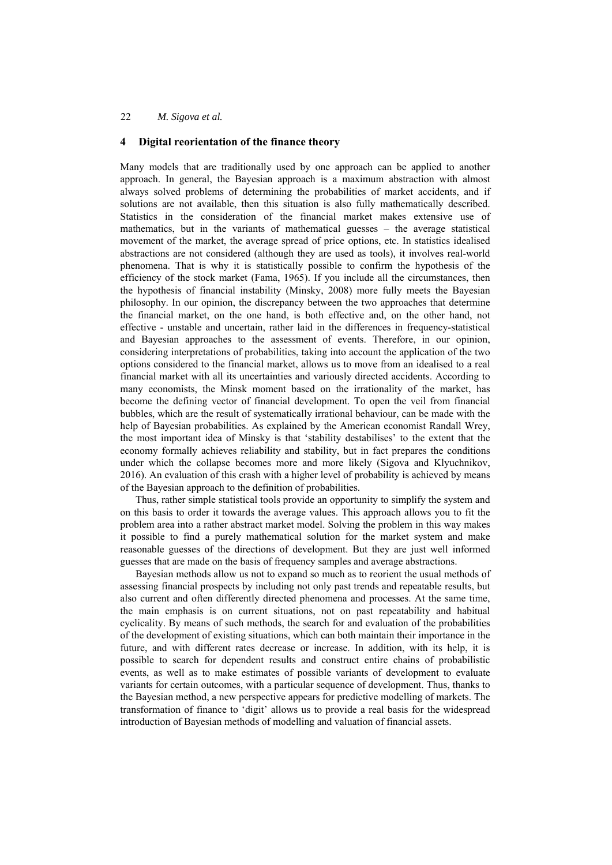### **4 Digital reorientation of the finance theory**

Many models that are traditionally used by one approach can be applied to another approach. In general, the Bayesian approach is a maximum abstraction with almost always solved problems of determining the probabilities of market accidents, and if solutions are not available, then this situation is also fully mathematically described. Statistics in the consideration of the financial market makes extensive use of mathematics, but in the variants of mathematical guesses – the average statistical movement of the market, the average spread of price options, etc. In statistics idealised abstractions are not considered (although they are used as tools), it involves real-world phenomena. That is why it is statistically possible to confirm the hypothesis of the efficiency of the stock market (Fama, 1965). If you include all the circumstances, then the hypothesis of financial instability (Minsky, 2008) more fully meets the Bayesian philosophy. In our opinion, the discrepancy between the two approaches that determine the financial market, on the one hand, is both effective and, on the other hand, not effective - unstable and uncertain, rather laid in the differences in frequency-statistical and Bayesian approaches to the assessment of events. Therefore, in our opinion, considering interpretations of probabilities, taking into account the application of the two options considered to the financial market, allows us to move from an idealised to a real financial market with all its uncertainties and variously directed accidents. According to many economists, the Minsk moment based on the irrationality of the market, has become the defining vector of financial development. To open the veil from financial bubbles, which are the result of systematically irrational behaviour, can be made with the help of Bayesian probabilities. As explained by the American economist Randall Wrey, the most important idea of Minsky is that 'stability destabilises' to the extent that the economy formally achieves reliability and stability, but in fact prepares the conditions under which the collapse becomes more and more likely (Sigova and Klyuchnikov, 2016). An evaluation of this crash with a higher level of probability is achieved by means of the Bayesian approach to the definition of probabilities.

Thus, rather simple statistical tools provide an opportunity to simplify the system and on this basis to order it towards the average values. This approach allows you to fit the problem area into a rather abstract market model. Solving the problem in this way makes it possible to find a purely mathematical solution for the market system and make reasonable guesses of the directions of development. But they are just well informed guesses that are made on the basis of frequency samples and average abstractions.

Bayesian methods allow us not to expand so much as to reorient the usual methods of assessing financial prospects by including not only past trends and repeatable results, but also current and often differently directed phenomena and processes. At the same time, the main emphasis is on current situations, not on past repeatability and habitual cyclicality. By means of such methods, the search for and evaluation of the probabilities of the development of existing situations, which can both maintain their importance in the future, and with different rates decrease or increase. In addition, with its help, it is possible to search for dependent results and construct entire chains of probabilistic events, as well as to make estimates of possible variants of development to evaluate variants for certain outcomes, with a particular sequence of development. Thus, thanks to the Bayesian method, a new perspective appears for predictive modelling of markets. The transformation of finance to 'digit' allows us to provide a real basis for the widespread introduction of Bayesian methods of modelling and valuation of financial assets.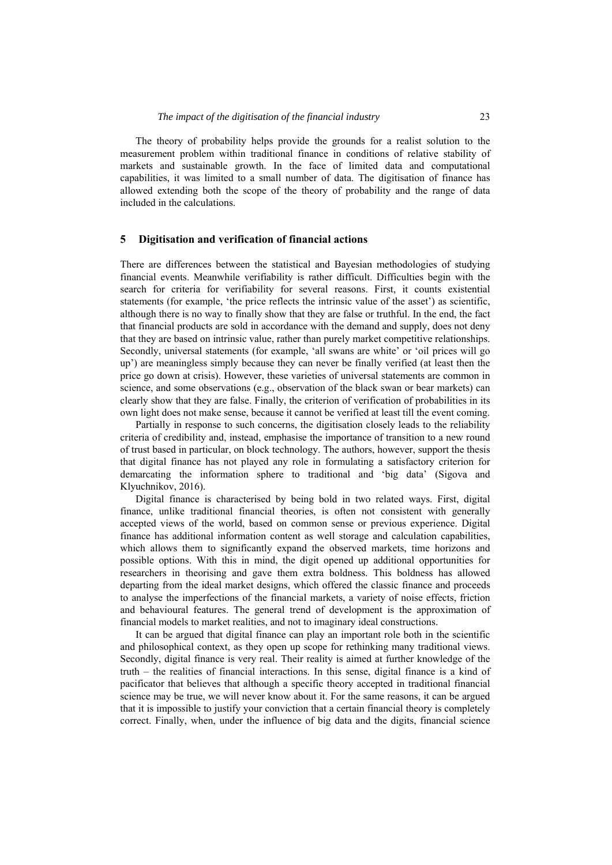The theory of probability helps provide the grounds for a realist solution to the measurement problem within traditional finance in conditions of relative stability of markets and sustainable growth. In the face of limited data and computational capabilities, it was limited to a small number of data. The digitisation of finance has allowed extending both the scope of the theory of probability and the range of data included in the calculations.

## **5 Digitisation and verification of financial actions**

There are differences between the statistical and Bayesian methodologies of studying financial events. Meanwhile verifiability is rather difficult. Difficulties begin with the search for criteria for verifiability for several reasons. First, it counts existential statements (for example, 'the price reflects the intrinsic value of the asset') as scientific, although there is no way to finally show that they are false or truthful. In the end, the fact that financial products are sold in accordance with the demand and supply, does not deny that they are based on intrinsic value, rather than purely market competitive relationships. Secondly, universal statements (for example, 'all swans are white' or 'oil prices will go up') are meaningless simply because they can never be finally verified (at least then the price go down at crisis). However, these varieties of universal statements are common in science, and some observations (e.g., observation of the black swan or bear markets) can clearly show that they are false. Finally, the criterion of verification of probabilities in its own light does not make sense, because it cannot be verified at least till the event coming.

Partially in response to such concerns, the digitisation closely leads to the reliability criteria of credibility and, instead, emphasise the importance of transition to a new round of trust based in particular, on block technology. The authors, however, support the thesis that digital finance has not played any role in formulating a satisfactory criterion for demarcating the information sphere to traditional and 'big data' (Sigova and Klyuchnikov, 2016).

Digital finance is characterised by being bold in two related ways. First, digital finance, unlike traditional financial theories, is often not consistent with generally accepted views of the world, based on common sense or previous experience. Digital finance has additional information content as well storage and calculation capabilities, which allows them to significantly expand the observed markets, time horizons and possible options. With this in mind, the digit opened up additional opportunities for researchers in theorising and gave them extra boldness. This boldness has allowed departing from the ideal market designs, which offered the classic finance and proceeds to analyse the imperfections of the financial markets, a variety of noise effects, friction and behavioural features. The general trend of development is the approximation of financial models to market realities, and not to imaginary ideal constructions.

It can be argued that digital finance can play an important role both in the scientific and philosophical context, as they open up scope for rethinking many traditional views. Secondly, digital finance is very real. Their reality is aimed at further knowledge of the truth – the realities of financial interactions. In this sense, digital finance is a kind of pacificator that believes that although a specific theory accepted in traditional financial science may be true, we will never know about it. For the same reasons, it can be argued that it is impossible to justify your conviction that a certain financial theory is completely correct. Finally, when, under the influence of big data and the digits, financial science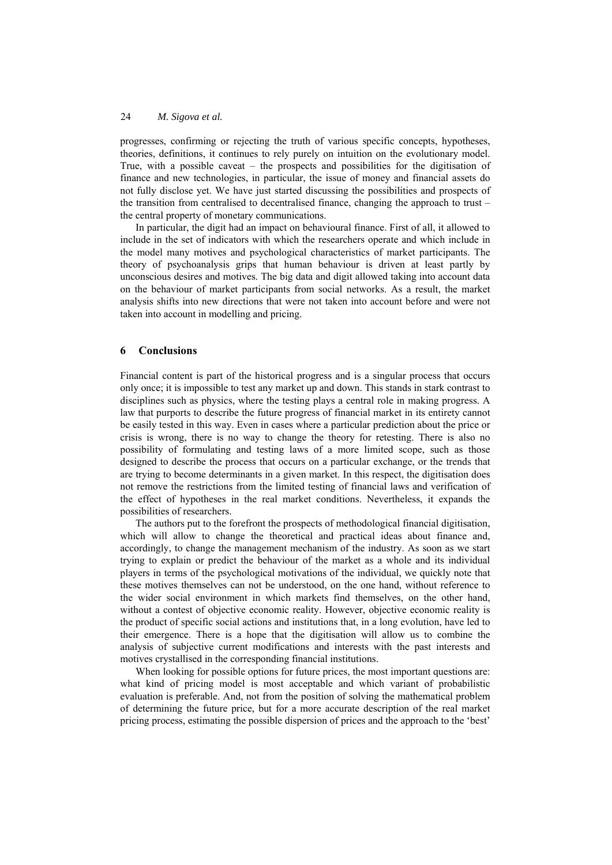progresses, confirming or rejecting the truth of various specific concepts, hypotheses, theories, definitions, it continues to rely purely on intuition on the evolutionary model. True, with a possible caveat – the prospects and possibilities for the digitisation of finance and new technologies, in particular, the issue of money and financial assets do not fully disclose yet. We have just started discussing the possibilities and prospects of the transition from centralised to decentralised finance, changing the approach to trust – the central property of monetary communications.

In particular, the digit had an impact on behavioural finance. First of all, it allowed to include in the set of indicators with which the researchers operate and which include in the model many motives and psychological characteristics of market participants. The theory of psychoanalysis grips that human behaviour is driven at least partly by unconscious desires and motives. The big data and digit allowed taking into account data on the behaviour of market participants from social networks. As a result, the market analysis shifts into new directions that were not taken into account before and were not taken into account in modelling and pricing.

## **6 Conclusions**

Financial content is part of the historical progress and is a singular process that occurs only once; it is impossible to test any market up and down. This stands in stark contrast to disciplines such as physics, where the testing plays a central role in making progress. A law that purports to describe the future progress of financial market in its entirety cannot be easily tested in this way. Even in cases where a particular prediction about the price or crisis is wrong, there is no way to change the theory for retesting. There is also no possibility of formulating and testing laws of a more limited scope, such as those designed to describe the process that occurs on a particular exchange, or the trends that are trying to become determinants in a given market. In this respect, the digitisation does not remove the restrictions from the limited testing of financial laws and verification of the effect of hypotheses in the real market conditions. Nevertheless, it expands the possibilities of researchers.

The authors put to the forefront the prospects of methodological financial digitisation, which will allow to change the theoretical and practical ideas about finance and, accordingly, to change the management mechanism of the industry. As soon as we start trying to explain or predict the behaviour of the market as a whole and its individual players in terms of the psychological motivations of the individual, we quickly note that these motives themselves can not be understood, on the one hand, without reference to the wider social environment in which markets find themselves, on the other hand, without a contest of objective economic reality. However, objective economic reality is the product of specific social actions and institutions that, in a long evolution, have led to their emergence. There is a hope that the digitisation will allow us to combine the analysis of subjective current modifications and interests with the past interests and motives crystallised in the corresponding financial institutions.

When looking for possible options for future prices, the most important questions are: what kind of pricing model is most acceptable and which variant of probabilistic evaluation is preferable. And, not from the position of solving the mathematical problem of determining the future price, but for a more accurate description of the real market pricing process, estimating the possible dispersion of prices and the approach to the 'best'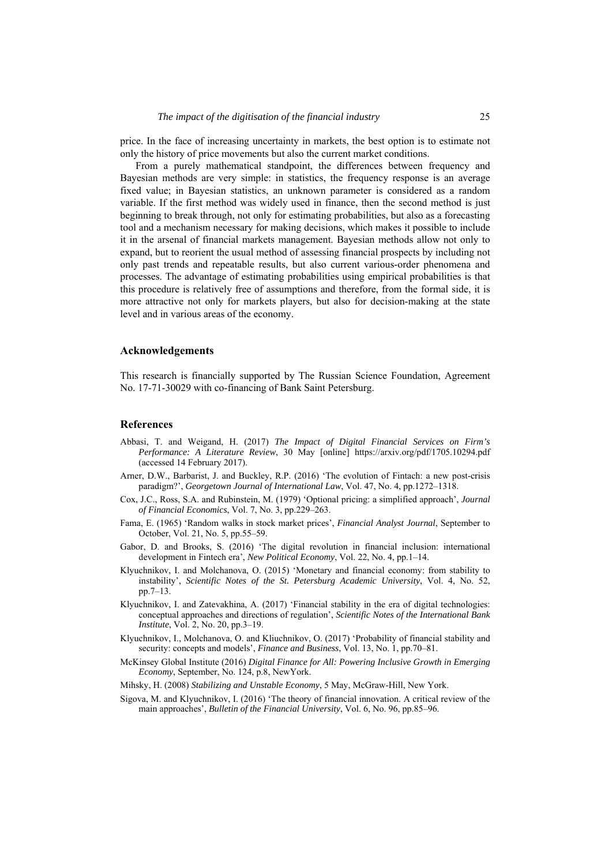price. In the face of increasing uncertainty in markets, the best option is to estimate not only the history of price movements but also the current market conditions.

From a purely mathematical standpoint, the differences between frequency and Bayesian methods are very simple: in statistics, the frequency response is an average fixed value; in Bayesian statistics, an unknown parameter is considered as a random variable. If the first method was widely used in finance, then the second method is just beginning to break through, not only for estimating probabilities, but also as a forecasting tool and a mechanism necessary for making decisions, which makes it possible to include it in the arsenal of financial markets management. Bayesian methods allow not only to expand, but to reorient the usual method of assessing financial prospects by including not only past trends and repeatable results, but also current various-order phenomena and processes. The advantage of estimating probabilities using empirical probabilities is that this procedure is relatively free of assumptions and therefore, from the formal side, it is more attractive not only for markets players, but also for decision-making at the state level and in various areas of the economy.

#### **Acknowledgements**

This research is financially supported by The Russian Science Foundation, Agreement No. 17-71-30029 with co-financing of Bank Saint Petersburg.

#### **References**

- Abbasi, T. and Weigand, H. (2017) *The Impact of Digital Financial Services on Firm's Performance: A Literature Review*, 30 May [online] https://arxiv.org/pdf/1705.10294.pdf (accessed 14 February 2017).
- Arner, D.W., Barbarist, J. and Buckley, R.P. (2016) 'The evolution of Fintach: a new post-crisis paradigm?', *Georgetown Journal of International Law*, Vol. 47, No. 4, pp.1272–1318.
- Cox, J.C., Ross, S.A. and Rubinstein, M. (1979) 'Optional pricing: a simplified approach', *Journal of Financial Economics*, Vol. 7, No. 3, pp.229–263.
- Fama, E. (1965) 'Random walks in stock market prices', *Financial Analyst Journal*, September to October, Vol. 21, No. 5, pp.55–59.
- Gabor, D. and Brooks, S. (2016) 'The digital revolution in financial inclusion: international development in Fintech era', *New Political Economy*, Vol. 22, No. 4, pp.1–14.
- Klyuchnikov, I. and Molchanova, O. (2015) 'Monetary and financial economy: from stability to instability', *Scientific Notes of the St. Petersburg Academic University*, Vol. 4, No. 52, pp.7–13.
- Klyuchnikov, I. and Zatevakhina, A. (2017) 'Financial stability in the era of digital technologies: conceptual approaches and directions of regulation', *Scientific Notes of the International Bank Institute*, Vol. 2, No. 20, pp.3–19.
- Klyuchnikov, I., Molchanova, O. and Kliuchnikov, O. (2017) 'Probability of financial stability and security: concepts and models', *Finance and Business*, Vol. 13, No. 1, pp.70–81.
- McKinsey Global Institute (2016) *Digital Finance for All: Powering Inclusive Growth in Emerging Economy*, September, No. 124, p.8, NewYork.
- Mihsky, H. (2008) *Stabilizing and Unstable Economy*, 5 May, McGraw-Hill, New York.
- Sigova, M. and Klyuchnikov, I. (2016) 'The theory of financial innovation. A critical review of the main approaches', *Bulletin of the Financial University*, Vol. 6, No. 96, pp.85–96.